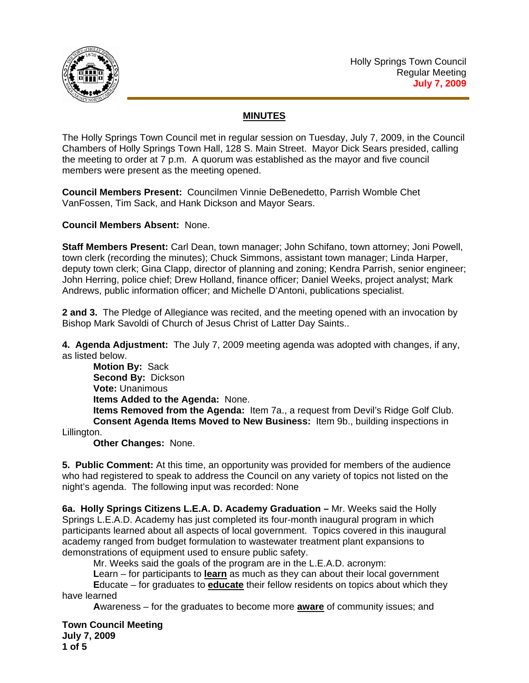

## **MINUTES**

The Holly Springs Town Council met in regular session on Tuesday, July 7, 2009, in the Council Chambers of Holly Springs Town Hall, 128 S. Main Street. Mayor Dick Sears presided, calling the meeting to order at 7 p.m. A quorum was established as the mayor and five council members were present as the meeting opened.

**Council Members Present:** Councilmen Vinnie DeBenedetto, Parrish Womble Chet VanFossen, Tim Sack, and Hank Dickson and Mayor Sears.

**Council Members Absent:** None.

**Staff Members Present:** Carl Dean, town manager; John Schifano, town attorney; Joni Powell, town clerk (recording the minutes); Chuck Simmons, assistant town manager; Linda Harper, deputy town clerk; Gina Clapp, director of planning and zoning; Kendra Parrish, senior engineer; John Herring, police chief; Drew Holland, finance officer; Daniel Weeks, project analyst; Mark Andrews, public information officer; and Michelle D'Antoni, publications specialist.

**2 and 3.** The Pledge of Allegiance was recited, and the meeting opened with an invocation by Bishop Mark Savoldi of Church of Jesus Christ of Latter Day Saints..

**4. Agenda Adjustment:** The July 7, 2009 meeting agenda was adopted with changes, if any, as listed below.

**Motion By:** Sack **Second By:** Dickson **Vote:** Unanimous  **Items Added to the Agenda:** None. **Items Removed from the Agenda:** Item 7a., a request from Devil's Ridge Golf Club. **Consent Agenda Items Moved to New Business:** Item 9b., building inspections in

Lillington.

**Other Changes:** None.

**5. Public Comment:** At this time, an opportunity was provided for members of the audience who had registered to speak to address the Council on any variety of topics not listed on the night's agenda. The following input was recorded: None

**6a. Holly Springs Citizens L.E.A. D. Academy Graduation –** Mr. Weeks said the Holly Springs L.E.A.D. Academy has just completed its four-month inaugural program in which participants learned about all aspects of local government. Topics covered in this inaugural academy ranged from budget formulation to wastewater treatment plant expansions to demonstrations of equipment used to ensure public safety.

Mr. Weeks said the goals of the program are in the L.E.A.D. acronym:

 **L**earn – for participants to **learn** as much as they can about their local government

 **E**ducate – for graduates to **educate** their fellow residents on topics about which they have learned

 **A**wareness – for the graduates to become more **aware** of community issues; and

**Town Council Meeting July 7, 2009 1 of 5**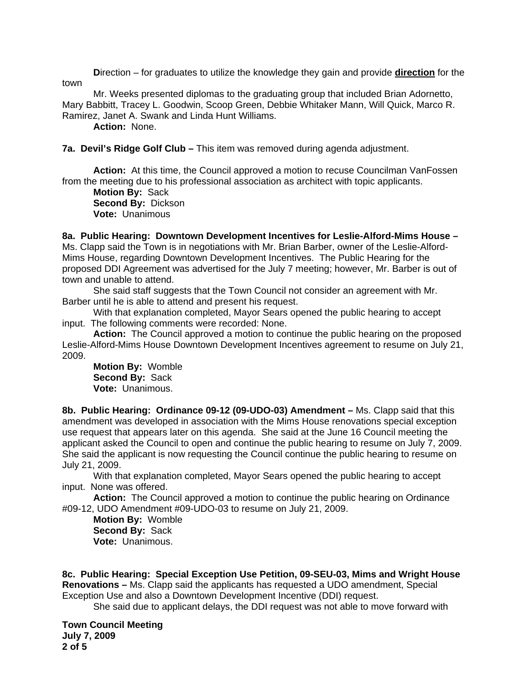**D**irection – for graduates to utilize the knowledge they gain and provide **direction** for the town

 Mr. Weeks presented diplomas to the graduating group that included Brian Adornetto, Mary Babbitt, Tracey L. Goodwin, Scoop Green, Debbie Whitaker Mann, Will Quick, Marco R. Ramirez, Janet A. Swank and Linda Hunt Williams.

**Action:** None.

**7a. Devil's Ridge Golf Club –** This item was removed during agenda adjustment.

**Action:** At this time, the Council approved a motion to recuse Councilman VanFossen from the meeting due to his professional association as architect with topic applicants.

**Motion By:** Sack **Second By:** Dickson **Vote:** Unanimous

**8a. Public Hearing: Downtown Development Incentives for Leslie-Alford-Mims House –**  Ms. Clapp said the Town is in negotiations with Mr. Brian Barber, owner of the Leslie-Alford-Mims House, regarding Downtown Development Incentives. The Public Hearing for the proposed DDI Agreement was advertised for the July 7 meeting; however, Mr. Barber is out of town and unable to attend.

 She said staff suggests that the Town Council not consider an agreement with Mr. Barber until he is able to attend and present his request.

 With that explanation completed, Mayor Sears opened the public hearing to accept input. The following comments were recorded: None.

Action: The Council approved a motion to continue the public hearing on the proposed Leslie-Alford-Mims House Downtown Development Incentives agreement to resume on July 21, 2009.

**Motion By:** Womble **Second By:** Sack **Vote:** Unanimous.

**8b. Public Hearing: Ordinance 09-12 (09-UDO-03) Amendment –** Ms. Clapp said that this amendment was developed in association with the Mims House renovations special exception use request that appears later on this agenda. She said at the June 16 Council meeting the applicant asked the Council to open and continue the public hearing to resume on July 7, 2009. She said the applicant is now requesting the Council continue the public hearing to resume on July 21, 2009.

With that explanation completed, Mayor Sears opened the public hearing to accept input. None was offered.

**Action:** The Council approved a motion to continue the public hearing on Ordinance #09-12, UDO Amendment #09-UDO-03 to resume on July 21, 2009.

**Motion By:** Womble **Second By:** Sack **Vote:** Unanimous.

**8c. Public Hearing: Special Exception Use Petition, 09-SEU-03, Mims and Wright House Renovations –** Ms. Clapp said the applicants has requested a UDO amendment, Special Exception Use and also a Downtown Development Incentive (DDI) request.

She said due to applicant delays, the DDI request was not able to move forward with

**Town Council Meeting July 7, 2009 2 of 5**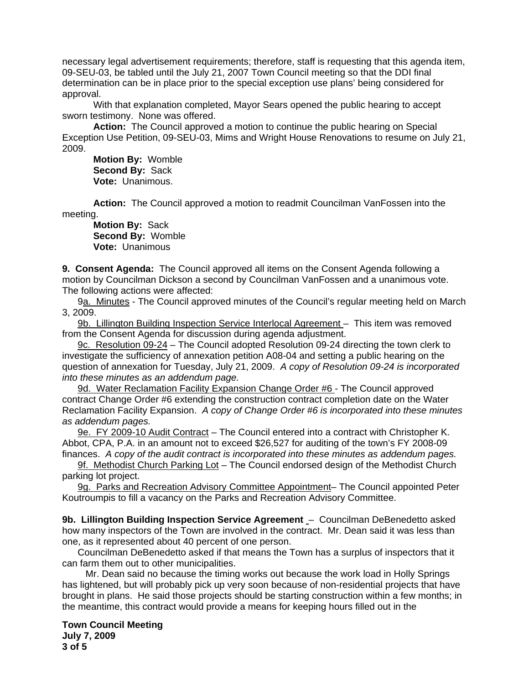necessary legal advertisement requirements; therefore, staff is requesting that this agenda item, 09-SEU-03, be tabled until the July 21, 2007 Town Council meeting so that the DDI final determination can be in place prior to the special exception use plans' being considered for approval.

With that explanation completed, Mayor Sears opened the public hearing to accept sworn testimony. None was offered.

**Action:** The Council approved a motion to continue the public hearing on Special Exception Use Petition, 09-SEU-03, Mims and Wright House Renovations to resume on July 21, 2009.

**Motion By:** Womble **Second By:** Sack **Vote:** Unanimous.

**Action:** The Council approved a motion to readmit Councilman VanFossen into the meeting.

**Motion By:** Sack **Second By:** Womble **Vote:** Unanimous

**9. Consent Agenda:** The Council approved all items on the Consent Agenda following a motion by Councilman Dickson a second by Councilman VanFossen and a unanimous vote. The following actions were affected:

 9a. Minutes - The Council approved minutes of the Council's regular meeting held on March 3, 2009.

9b. Lillington Building Inspection Service Interlocal Agreement – This item was removed from the Consent Agenda for discussion during agenda adjustment.

 9c. Resolution 09-24 – The Council adopted Resolution 09-24 directing the town clerk to investigate the sufficiency of annexation petition A08-04 and setting a public hearing on the question of annexation for Tuesday, July 21, 2009. *A copy of Resolution 09-24 is incorporated into these minutes as an addendum page.*

9d. Water Reclamation Facility Expansion Change Order #6 - The Council approved contract Change Order #6 extending the construction contract completion date on the Water Reclamation Facility Expansion. *A copy of Change Order #6 is incorporated into these minutes as addendum pages.* 

9e. FY 2009-10 Audit Contract – The Council entered into a contract with Christopher K. Abbot, CPA, P.A. in an amount not to exceed \$26,527 for auditing of the town's FY 2008-09 finances. *A copy of the audit contract is incorporated into these minutes as addendum pages.* 

9f. Methodist Church Parking Lot - The Council endorsed design of the Methodist Church parking lot project.

 9g. Parks and Recreation Advisory Committee Appointment– The Council appointed Peter Koutroumpis to fill a vacancy on the Parks and Recreation Advisory Committee.

**9b. Lillington Building Inspection Service Agreement** – Councilman DeBenedetto asked how many inspectors of the Town are involved in the contract. Mr. Dean said it was less than one, as it represented about 40 percent of one person.

 Councilman DeBenedetto asked if that means the Town has a surplus of inspectors that it can farm them out to other municipalities.

 Mr. Dean said no because the timing works out because the work load in Holly Springs has lightened, but will probably pick up very soon because of non-residential projects that have brought in plans. He said those projects should be starting construction within a few months; in the meantime, this contract would provide a means for keeping hours filled out in the

**Town Council Meeting July 7, 2009 3 of 5**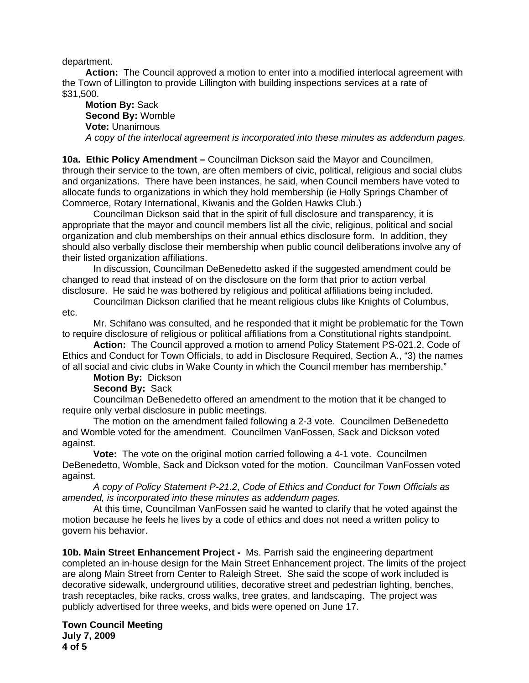department.

 **Action:** The Council approved a motion to enter into a modified interlocal agreement with the Town of Lillington to provide Lillington with building inspections services at a rate of \$31,500.

 **Motion By:** Sack **Second By:** Womble **Vote:** Unanimous  *A copy of the interlocal agreement is incorporated into these minutes as addendum pages.* 

**10a. Ethic Policy Amendment –** Councilman Dickson said the Mayor and Councilmen, through their service to the town, are often members of civic, political, religious and social clubs and organizations. There have been instances, he said, when Council members have voted to allocate funds to organizations in which they hold membership (ie Holly Springs Chamber of Commerce, Rotary International, Kiwanis and the Golden Hawks Club.)

 Councilman Dickson said that in the spirit of full disclosure and transparency, it is appropriate that the mayor and council members list all the civic, religious, political and social organization and club memberships on their annual ethics disclosure form. In addition, they should also verbally disclose their membership when public council deliberations involve any of their listed organization affiliations.

In discussion, Councilman DeBenedetto asked if the suggested amendment could be changed to read that instead of on the disclosure on the form that prior to action verbal disclosure. He said he was bothered by religious and political affiliations being included.

Councilman Dickson clarified that he meant religious clubs like Knights of Columbus, etc.

Mr. Schifano was consulted, and he responded that it might be problematic for the Town to require disclosure of religious or political affiliations from a Constitutional rights standpoint.

**Action:** The Council approved a motion to amend Policy Statement PS-021.2, Code of Ethics and Conduct for Town Officials, to add in Disclosure Required, Section A., "3) the names of all social and civic clubs in Wake County in which the Council member has membership."

**Motion By:** Dickson

**Second By:** Sack

 Councilman DeBenedetto offered an amendment to the motion that it be changed to require only verbal disclosure in public meetings.

 The motion on the amendment failed following a 2-3 vote. Councilmen DeBenedetto and Womble voted for the amendment. Councilmen VanFossen, Sack and Dickson voted against.

**Vote:** The vote on the original motion carried following a 4-1 vote. Councilmen DeBenedetto, Womble, Sack and Dickson voted for the motion. Councilman VanFossen voted against.

 *A copy of Policy Statement P-21.2, Code of Ethics and Conduct for Town Officials as amended, is incorporated into these minutes as addendum pages.* 

 At this time, Councilman VanFossen said he wanted to clarify that he voted against the motion because he feels he lives by a code of ethics and does not need a written policy to govern his behavior.

**10b. Main Street Enhancement Project -** Ms. Parrish said the engineering department completed an in-house design for the Main Street Enhancement project. The limits of the project are along Main Street from Center to Raleigh Street. She said the scope of work included is decorative sidewalk, underground utilities, decorative street and pedestrian lighting, benches, trash receptacles, bike racks, cross walks, tree grates, and landscaping. The project was publicly advertised for three weeks, and bids were opened on June 17.

**Town Council Meeting July 7, 2009 4 of 5**